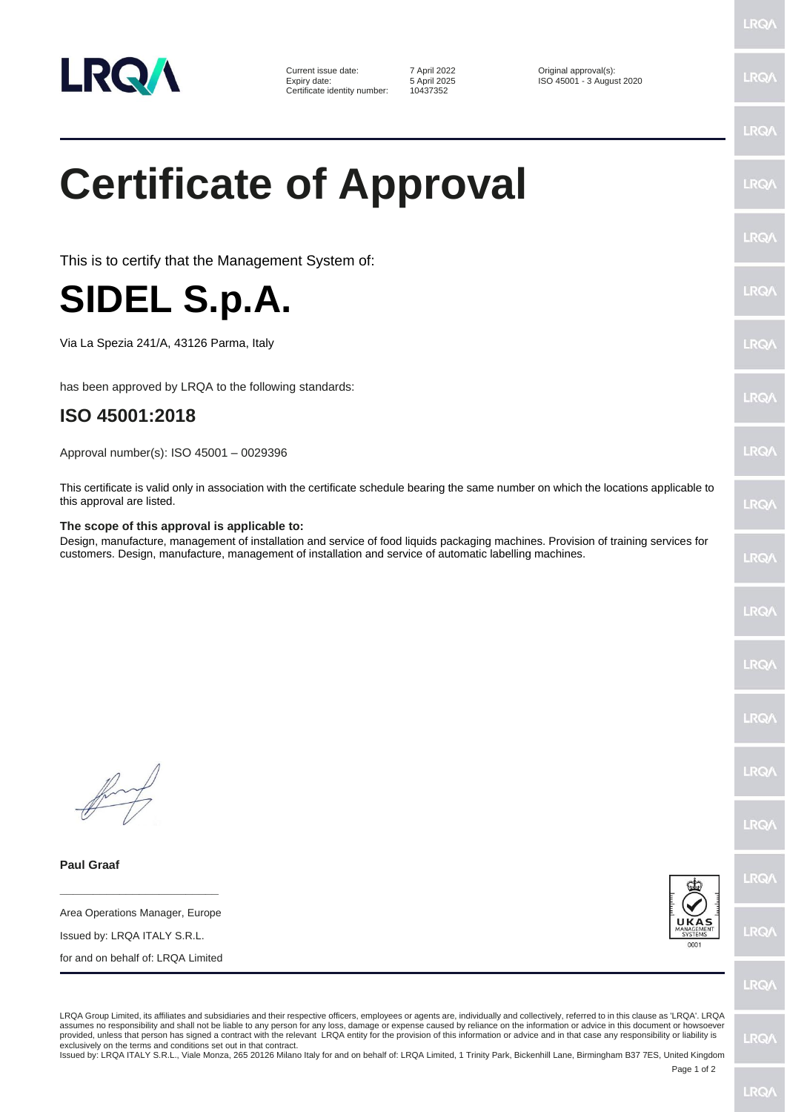

Current issue date: <br>
Expiry date: The Solution of April 2025<br>
Sapril 2025<br>
City of Solomon 13 August 2025 Certificate identity number:

Expiry date: 5 April 2025 ISO 45001 - 3 August 2020

## **Certificate of Approval**

This is to certify that the Management System of:

## **SIDEL S.p.A.**

Via La Spezia 241/A, 43126 Parma, Italy

has been approved by LRQA to the following standards:

## **ISO 45001:2018**

Approval number(s): ISO 45001 – 0029396

This certificate is valid only in association with the certificate schedule bearing the same number on which the locations applicable to this approval are listed.

## **The scope of this approval is applicable to:**

Design, manufacture, management of installation and service of food liquids packaging machines. Provision of training services for customers. Design, manufacture, management of installation and service of automatic labelling machines.

**Paul Graaf**

**\_\_\_\_\_\_\_\_\_\_\_\_\_\_\_\_\_\_\_\_\_\_\_\_** Area Operations Manager, Europe

Issued by: LRQA ITALY S.R.L.

for and on behalf of: LRQA Limited



LRO/

LRQA Group Limited, its affiliates and subsidiaries and their respective officers, employees or agents are, individually and collectively, referred to in this clause as 'LRQA'. LRQA assumes no responsibility and shall not be liable to any person for any loss, damage or expense caused by reliance on the information or advice in this document or howsoever provided, unless that person has signed a contract with the relevant LRQA entity for the provision of this information or advice and in that case any responsibility or liability is<br>exclusively on the terms and conditions s

Issued by: LRQA ITALY S.R.L., Viale Monza, 265 20126 Milano Italy for and on behalf of: LRQA Limited, 1 Trinity Park, Bickenhill Lane, Birmingham B37 7ES, United Kingdom

Page 1 of 2

LRQ/

**LRQ/** 

LRQ/

**IRQ/** 

LRQ.

LRQ/

**LRQ/** 

 $PQ$ 

LRQ/

LRQ/

LRQ/

LRQ/

LRQ/

LRQ/

**LRQ** 

LRQ/

LRQ/

**IRQ/**